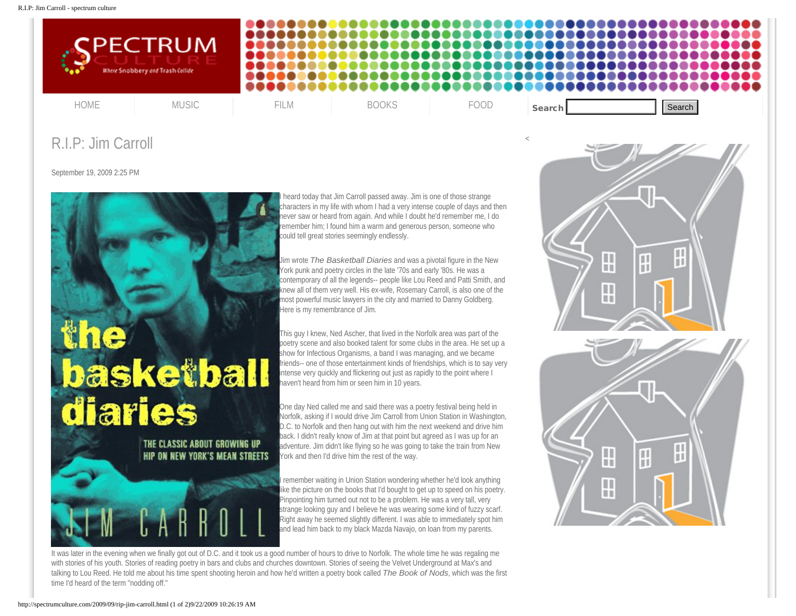

## R.I.P: Jim Carroll

September 19, 2009 2:25 PM



heard today that Jim Carroll passed away. Jim is one of those strange characters in my life with whom I had a very intense couple of days and then never saw or heard from again. And while I doubt he'd remember me, I do remember him; I found him a warm and generous person, someone who could tell great stories seemingly endlessly.

Jim wrote *The Basketball Diaries* and was a pivotal figure in the New York punk and poetry circles in the late '70s and early '80s. He was a contemporary of all the legends-- people like Lou Reed and Patti Smith, and knew all of them very well. His ex-wife, Rosemary Carroll, is also one of the most powerful music lawyers in the city and married to Danny Goldberg. Here is my remembrance of Jim.

This guy I knew, Ned Ascher, that lived in the Norfolk area was part of the poetry scene and also booked talent for some clubs in the area. He set up a show for Infectious Organisms, a band I was managing, and we became friends-- one of those entertainment kinds of friendships, which is to say very intense very quickly and flickering out just as rapidly to the point where I haven't heard from him or seen him in 10 years.

One day Ned called me and said there was a poetry festival being held in Norfolk, asking if I would drive Jim Carroll from Union Station in Washington, D.C. to Norfolk and then hang out with him the next weekend and drive him back. I didn't really know of Jim at that point but agreed as I was up for an adventure. Jim didn't like flying so he was going to take the train from New York and then I'd drive him the rest of the way.

I remember waiting in Union Station wondering whether he'd look anything like the picture on the books that I'd bought to get up to speed on his poetry. Pinpointing him turned out not to be a problem. He was a very tall, very strange looking guy and I believe he was wearing some kind of fuzzy scarf. Right away he seemed slightly different. I was able to immediately spot him and lead him back to my black Mazda Navajo, on loan from my parents.

It was later in the evening when we finally got out of D.C. and it took us a good number of hours to drive to Norfolk. The whole time he was regaling me with stories of his youth. Stories of reading poetry in bars and clubs and churches downtown. Stories of seeing the Velvet Underground at Max's and talking to Lou Reed. He told me about his time spent shooting heroin and how he'd written a poetry book called *The Book of Nods*, which was the first time I'd heard of the term "nodding off."